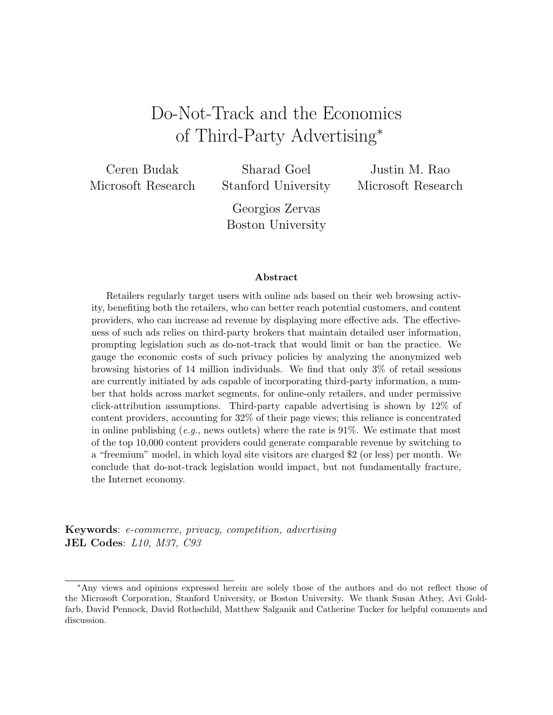# Do-Not-Track and the Economics of Third-Party Advertising<sup>∗</sup>

Ceren Budak Microsoft Research

Sharad Goel Stanford University

Justin M. Rao Microsoft Research

Georgios Zervas Boston University

#### Abstract

Retailers regularly target users with online ads based on their web browsing activity, benefiting both the retailers, who can better reach potential customers, and content providers, who can increase ad revenue by displaying more effective ads. The effectiveness of such ads relies on third-party brokers that maintain detailed user information, prompting legislation such as do-not-track that would limit or ban the practice. We gauge the economic costs of such privacy policies by analyzing the anonymized web browsing histories of 14 million individuals. We find that only 3% of retail sessions are currently initiated by ads capable of incorporating third-party information, a number that holds across market segments, for online-only retailers, and under permissive click-attribution assumptions. Third-party capable advertising is shown by 12% of content providers, accounting for 32% of their page views; this reliance is concentrated in online publishing  $(e.g.,\text{ news outlets})$  where the rate is 91%. We estimate that most of the top 10,000 content providers could generate comparable revenue by switching to a "freemium" model, in which loyal site visitors are charged \$2 (or less) per month. We conclude that do-not-track legislation would impact, but not fundamentally fracture, the Internet economy.

Keywords: e-commerce, privacy, competition, advertising JEL Codes: L10, M37, C93

<sup>∗</sup>Any views and opinions expressed herein are solely those of the authors and do not reflect those of the Microsoft Corporation, Stanford University, or Boston University. We thank Susan Athey, Avi Goldfarb, David Pennock, David Rothschild, Matthew Salganik and Catherine Tucker for helpful comments and discussion.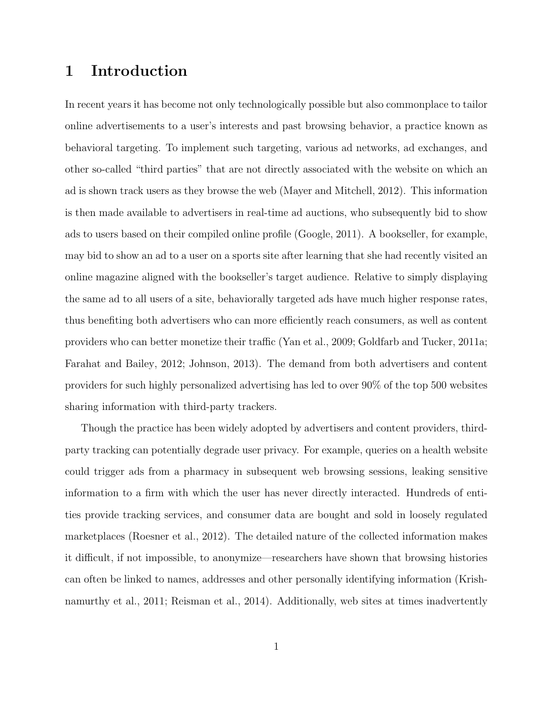# 1 Introduction

In recent years it has become not only technologically possible but also commonplace to tailor online advertisements to a user's interests and past browsing behavior, a practice known as behavioral targeting. To implement such targeting, various ad networks, ad exchanges, and other so-called "third parties" that are not directly associated with the website on which an ad is shown track users as they browse the web (Mayer and Mitchell, 2012). This information is then made available to advertisers in real-time ad auctions, who subsequently bid to show ads to users based on their compiled online profile (Google, 2011). A bookseller, for example, may bid to show an ad to a user on a sports site after learning that she had recently visited an online magazine aligned with the bookseller's target audience. Relative to simply displaying the same ad to all users of a site, behaviorally targeted ads have much higher response rates, thus benefiting both advertisers who can more efficiently reach consumers, as well as content providers who can better monetize their traffic (Yan et al., 2009; Goldfarb and Tucker, 2011a; Farahat and Bailey, 2012; Johnson, 2013). The demand from both advertisers and content providers for such highly personalized advertising has led to over 90% of the top 500 websites sharing information with third-party trackers.

Though the practice has been widely adopted by advertisers and content providers, thirdparty tracking can potentially degrade user privacy. For example, queries on a health website could trigger ads from a pharmacy in subsequent web browsing sessions, leaking sensitive information to a firm with which the user has never directly interacted. Hundreds of entities provide tracking services, and consumer data are bought and sold in loosely regulated marketplaces (Roesner et al., 2012). The detailed nature of the collected information makes it difficult, if not impossible, to anonymize—researchers have shown that browsing histories can often be linked to names, addresses and other personally identifying information (Krishnamurthy et al., 2011; Reisman et al., 2014). Additionally, web sites at times inadvertently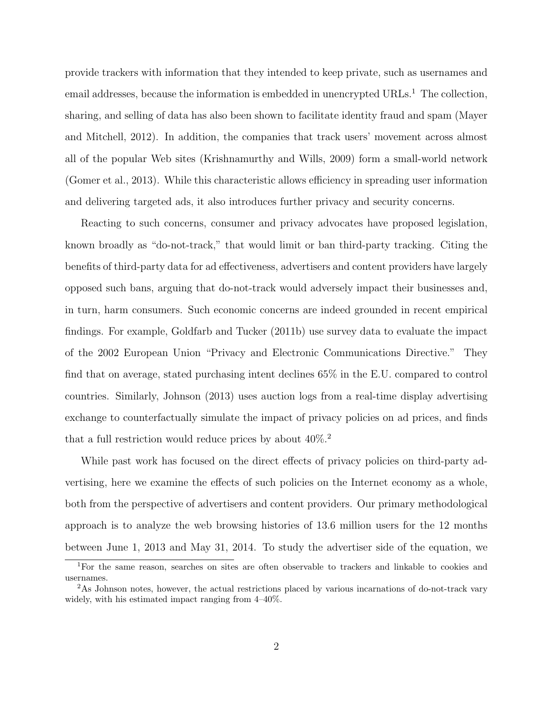provide trackers with information that they intended to keep private, such as usernames and email addresses, because the information is embedded in unencrypted URLs.<sup>1</sup> The collection, sharing, and selling of data has also been shown to facilitate identity fraud and spam (Mayer and Mitchell, 2012). In addition, the companies that track users' movement across almost all of the popular Web sites (Krishnamurthy and Wills, 2009) form a small-world network (Gomer et al., 2013). While this characteristic allows efficiency in spreading user information and delivering targeted ads, it also introduces further privacy and security concerns.

Reacting to such concerns, consumer and privacy advocates have proposed legislation, known broadly as "do-not-track," that would limit or ban third-party tracking. Citing the benefits of third-party data for ad effectiveness, advertisers and content providers have largely opposed such bans, arguing that do-not-track would adversely impact their businesses and, in turn, harm consumers. Such economic concerns are indeed grounded in recent empirical findings. For example, Goldfarb and Tucker (2011b) use survey data to evaluate the impact of the 2002 European Union "Privacy and Electronic Communications Directive." They find that on average, stated purchasing intent declines 65% in the E.U. compared to control countries. Similarly, Johnson (2013) uses auction logs from a real-time display advertising exchange to counterfactually simulate the impact of privacy policies on ad prices, and finds that a full restriction would reduce prices by about  $40\%$ .<sup>2</sup>

While past work has focused on the direct effects of privacy policies on third-party advertising, here we examine the effects of such policies on the Internet economy as a whole, both from the perspective of advertisers and content providers. Our primary methodological approach is to analyze the web browsing histories of 13.6 million users for the 12 months between June 1, 2013 and May 31, 2014. To study the advertiser side of the equation, we

<sup>1</sup>For the same reason, searches on sites are often observable to trackers and linkable to cookies and usernames.

<sup>2</sup>As Johnson notes, however, the actual restrictions placed by various incarnations of do-not-track vary widely, with his estimated impact ranging from 4–40%.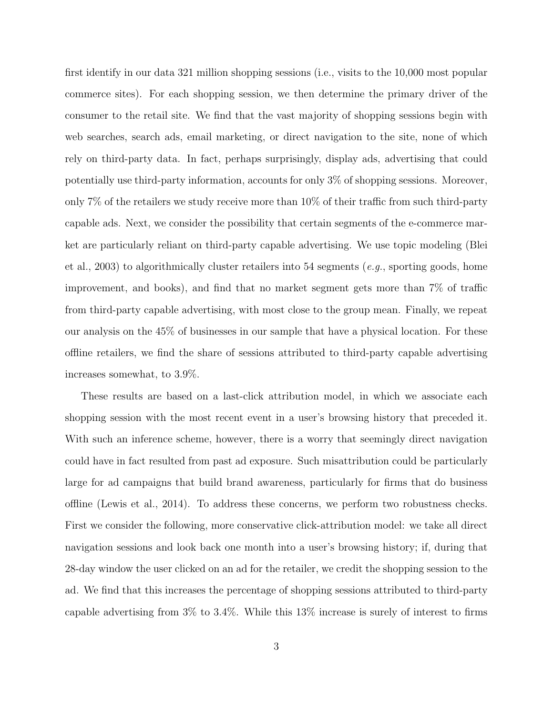first identify in our data 321 million shopping sessions (i.e., visits to the 10,000 most popular commerce sites). For each shopping session, we then determine the primary driver of the consumer to the retail site. We find that the vast majority of shopping sessions begin with web searches, search ads, email marketing, or direct navigation to the site, none of which rely on third-party data. In fact, perhaps surprisingly, display ads, advertising that could potentially use third-party information, accounts for only 3% of shopping sessions. Moreover, only 7% of the retailers we study receive more than 10% of their traffic from such third-party capable ads. Next, we consider the possibility that certain segments of the e-commerce market are particularly reliant on third-party capable advertising. We use topic modeling (Blei et al., 2003) to algorithmically cluster retailers into 54 segments (*e.g.*, sporting goods, home improvement, and books), and find that no market segment gets more than 7% of traffic from third-party capable advertising, with most close to the group mean. Finally, we repeat our analysis on the 45% of businesses in our sample that have a physical location. For these offline retailers, we find the share of sessions attributed to third-party capable advertising increases somewhat, to 3.9%.

These results are based on a last-click attribution model, in which we associate each shopping session with the most recent event in a user's browsing history that preceded it. With such an inference scheme, however, there is a worry that seemingly direct navigation could have in fact resulted from past ad exposure. Such misattribution could be particularly large for ad campaigns that build brand awareness, particularly for firms that do business offline (Lewis et al., 2014). To address these concerns, we perform two robustness checks. First we consider the following, more conservative click-attribution model: we take all direct navigation sessions and look back one month into a user's browsing history; if, during that 28-day window the user clicked on an ad for the retailer, we credit the shopping session to the ad. We find that this increases the percentage of shopping sessions attributed to third-party capable advertising from 3% to 3.4%. While this 13% increase is surely of interest to firms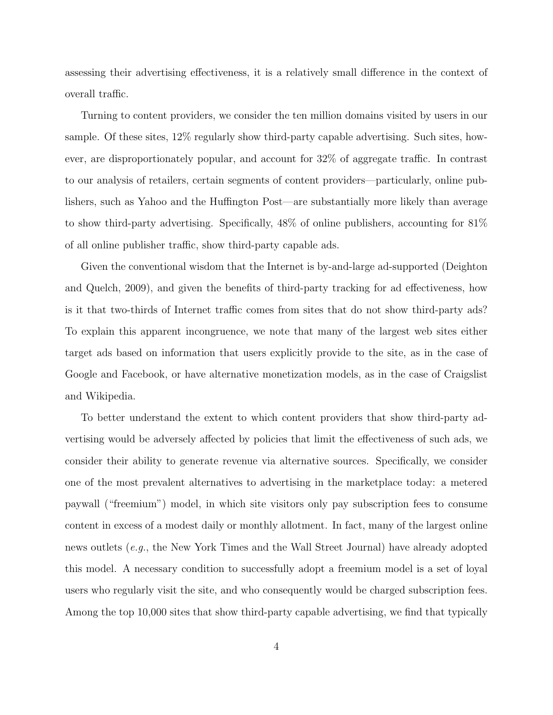assessing their advertising effectiveness, it is a relatively small difference in the context of overall traffic.

Turning to content providers, we consider the ten million domains visited by users in our sample. Of these sites, 12% regularly show third-party capable advertising. Such sites, however, are disproportionately popular, and account for 32% of aggregate traffic. In contrast to our analysis of retailers, certain segments of content providers—particularly, online publishers, such as Yahoo and the Huffington Post—are substantially more likely than average to show third-party advertising. Specifically, 48% of online publishers, accounting for 81% of all online publisher traffic, show third-party capable ads.

Given the conventional wisdom that the Internet is by-and-large ad-supported (Deighton and Quelch, 2009), and given the benefits of third-party tracking for ad effectiveness, how is it that two-thirds of Internet traffic comes from sites that do not show third-party ads? To explain this apparent incongruence, we note that many of the largest web sites either target ads based on information that users explicitly provide to the site, as in the case of Google and Facebook, or have alternative monetization models, as in the case of Craigslist and Wikipedia.

To better understand the extent to which content providers that show third-party advertising would be adversely affected by policies that limit the effectiveness of such ads, we consider their ability to generate revenue via alternative sources. Specifically, we consider one of the most prevalent alternatives to advertising in the marketplace today: a metered paywall ("freemium") model, in which site visitors only pay subscription fees to consume content in excess of a modest daily or monthly allotment. In fact, many of the largest online news outlets (e.g., the New York Times and the Wall Street Journal) have already adopted this model. A necessary condition to successfully adopt a freemium model is a set of loyal users who regularly visit the site, and who consequently would be charged subscription fees. Among the top 10,000 sites that show third-party capable advertising, we find that typically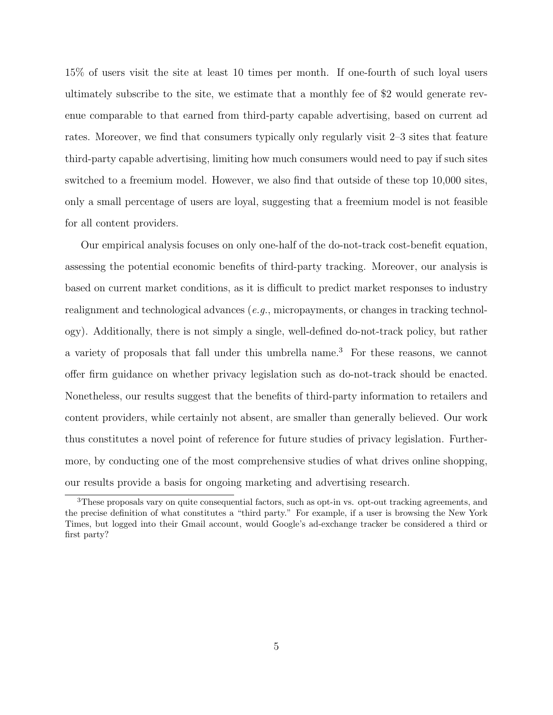15% of users visit the site at least 10 times per month. If one-fourth of such loyal users ultimately subscribe to the site, we estimate that a monthly fee of \$2 would generate revenue comparable to that earned from third-party capable advertising, based on current ad rates. Moreover, we find that consumers typically only regularly visit 2–3 sites that feature third-party capable advertising, limiting how much consumers would need to pay if such sites switched to a freemium model. However, we also find that outside of these top 10,000 sites, only a small percentage of users are loyal, suggesting that a freemium model is not feasible for all content providers.

Our empirical analysis focuses on only one-half of the do-not-track cost-benefit equation, assessing the potential economic benefits of third-party tracking. Moreover, our analysis is based on current market conditions, as it is difficult to predict market responses to industry realignment and technological advances (*e.g.*, micropayments, or changes in tracking technology). Additionally, there is not simply a single, well-defined do-not-track policy, but rather a variety of proposals that fall under this umbrella name.<sup>3</sup> For these reasons, we cannot offer firm guidance on whether privacy legislation such as do-not-track should be enacted. Nonetheless, our results suggest that the benefits of third-party information to retailers and content providers, while certainly not absent, are smaller than generally believed. Our work thus constitutes a novel point of reference for future studies of privacy legislation. Furthermore, by conducting one of the most comprehensive studies of what drives online shopping, our results provide a basis for ongoing marketing and advertising research.

<sup>3</sup>These proposals vary on quite consequential factors, such as opt-in vs. opt-out tracking agreements, and the precise definition of what constitutes a "third party." For example, if a user is browsing the New York Times, but logged into their Gmail account, would Google's ad-exchange tracker be considered a third or first party?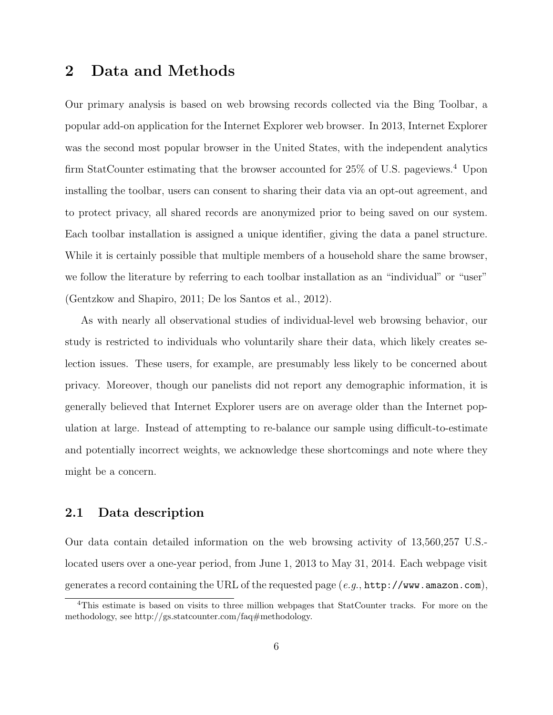### 2 Data and Methods

Our primary analysis is based on web browsing records collected via the Bing Toolbar, a popular add-on application for the Internet Explorer web browser. In 2013, Internet Explorer was the second most popular browser in the United States, with the independent analytics firm StatCounter estimating that the browser accounted for 25% of U.S. pageviews.<sup>4</sup> Upon installing the toolbar, users can consent to sharing their data via an opt-out agreement, and to protect privacy, all shared records are anonymized prior to being saved on our system. Each toolbar installation is assigned a unique identifier, giving the data a panel structure. While it is certainly possible that multiple members of a household share the same browser, we follow the literature by referring to each toolbar installation as an "individual" or "user" (Gentzkow and Shapiro, 2011; De los Santos et al., 2012).

As with nearly all observational studies of individual-level web browsing behavior, our study is restricted to individuals who voluntarily share their data, which likely creates selection issues. These users, for example, are presumably less likely to be concerned about privacy. Moreover, though our panelists did not report any demographic information, it is generally believed that Internet Explorer users are on average older than the Internet population at large. Instead of attempting to re-balance our sample using difficult-to-estimate and potentially incorrect weights, we acknowledge these shortcomings and note where they might be a concern.

#### 2.1 Data description

Our data contain detailed information on the web browsing activity of 13,560,257 U.S. located users over a one-year period, from June 1, 2013 to May 31, 2014. Each webpage visit generates a record containing the URL of the requested page  $(e.g., \text{http://www.amazon.com})$ ,

<sup>4</sup>This estimate is based on visits to three million webpages that StatCounter tracks. For more on the methodology, see http://gs.statcounter.com/faq#methodology.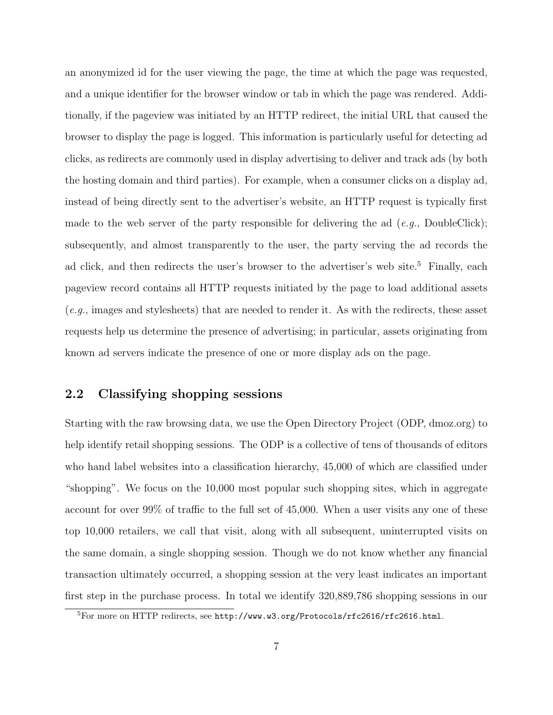an anonymized id for the user viewing the page, the time at which the page was requested, and a unique identifier for the browser window or tab in which the page was rendered. Additionally, if the pageview was initiated by an HTTP redirect, the initial URL that caused the browser to display the page is logged. This information is particularly useful for detecting ad clicks, as redirects are commonly used in display advertising to deliver and track ads (by both the hosting domain and third parties). For example, when a consumer clicks on a display ad, instead of being directly sent to the advertiser's website, an HTTP request is typically first made to the web server of the party responsible for delivering the ad  $(e.g., DoubleClick);$ subsequently, and almost transparently to the user, the party serving the ad records the ad click, and then redirects the user's browser to the advertiser's web site.<sup>5</sup> Finally, each pageview record contains all HTTP requests initiated by the page to load additional assets (e.g., images and stylesheets) that are needed to render it. As with the redirects, these asset requests help us determine the presence of advertising; in particular, assets originating from known ad servers indicate the presence of one or more display ads on the page.

#### 2.2 Classifying shopping sessions

Starting with the raw browsing data, we use the Open Directory Project (ODP, dmoz.org) to help identify retail shopping sessions. The ODP is a collective of tens of thousands of editors who hand label websites into a classification hierarchy, 45,000 of which are classified under "shopping". We focus on the 10,000 most popular such shopping sites, which in aggregate account for over 99% of traffic to the full set of 45,000. When a user visits any one of these top 10,000 retailers, we call that visit, along with all subsequent, uninterrupted visits on the same domain, a single shopping session. Though we do not know whether any financial transaction ultimately occurred, a shopping session at the very least indicates an important first step in the purchase process. In total we identify 320,889,786 shopping sessions in our

<sup>5</sup>For more on HTTP redirects, see http://www.w3.org/Protocols/rfc2616/rfc2616.html.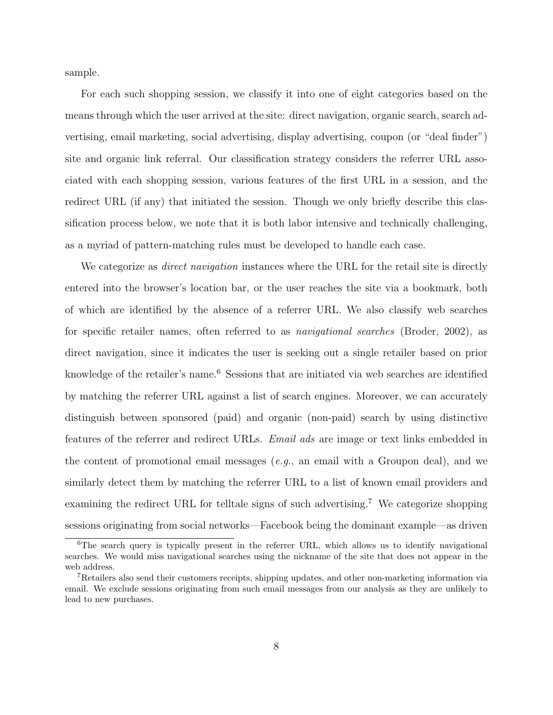sample.

For each such shopping session, we classify it into one of eight categories based on the means through which the user arrived at the site: direct navigation, organic search, search advertising, email marketing, social advertising, display advertising, coupon (or "deal finder") site and organic link referral. Our classification strategy considers the referrer URL associated with each shopping session, various features of the first URL in a session, and the redirect URL (if any) that initiated the session. Though we only briefly describe this classification process below, we note that it is both labor intensive and technically challenging, as a myriad of pattern-matching rules must be developed to handle each case.

We categorize as *direct navigation* instances where the URL for the retail site is directly entered into the browser's location bar, or the user reaches the site via a bookmark, both of which are identified by the absence of a referrer URL. We also classify web searches for specific retailer names, often referred to as navigational searches (Broder, 2002), as direct navigation, since it indicates the user is seeking out a single retailer based on prior knowledge of the retailer's name.<sup>6</sup> Sessions that are initiated via web searches are identified by matching the referrer URL against a list of search engines. Moreover, we can accurately distinguish between sponsored (paid) and organic (non-paid) search by using distinctive features of the referrer and redirect URLs. Email ads are image or text links embedded in the content of promotional email messages (e.g., an email with a Groupon deal), and we similarly detect them by matching the referrer URL to a list of known email providers and examining the redirect URL for telltale signs of such advertising.<sup>7</sup> We categorize shopping sessions originating from social networks—Facebook being the dominant example—as driven

<sup>&</sup>lt;sup>6</sup>The search query is typically present in the referrer URL, which allows us to identify navigational searches. We would miss navigational searches using the nickname of the site that does not appear in the web address.

<sup>&</sup>lt;sup>7</sup>Retailers also send their customers receipts, shipping updates, and other non-marketing information via email. We exclude sessions originating from such email messages from our analysis as they are unlikely to lead to new purchases.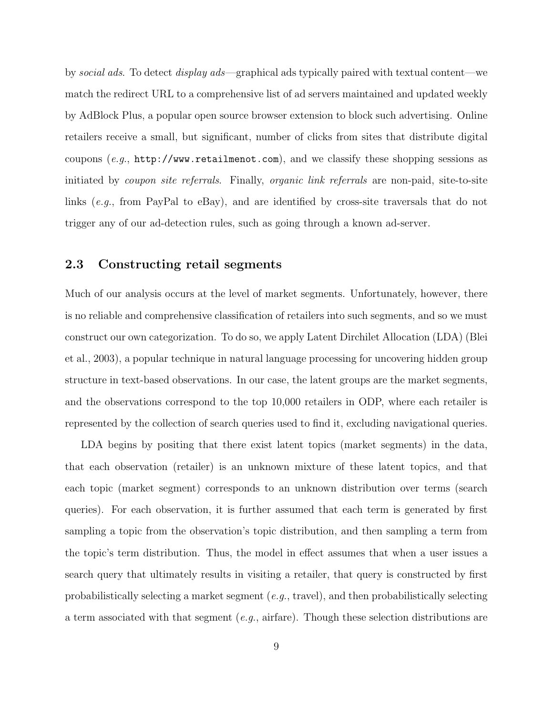by social ads. To detect display ads—graphical ads typically paired with textual content—we match the redirect URL to a comprehensive list of ad servers maintained and updated weekly by AdBlock Plus, a popular open source browser extension to block such advertising. Online retailers receive a small, but significant, number of clicks from sites that distribute digital coupons (e.g.,  $http://www.retailmenot.com)$ , and we classify these shopping sessions as initiated by *coupon site referrals*. Finally, *organic link referrals* are non-paid, site-to-site links (e.g., from PayPal to eBay), and are identified by cross-site traversals that do not trigger any of our ad-detection rules, such as going through a known ad-server.

#### 2.3 Constructing retail segments

Much of our analysis occurs at the level of market segments. Unfortunately, however, there is no reliable and comprehensive classification of retailers into such segments, and so we must construct our own categorization. To do so, we apply Latent Dirchilet Allocation (LDA) (Blei et al., 2003), a popular technique in natural language processing for uncovering hidden group structure in text-based observations. In our case, the latent groups are the market segments, and the observations correspond to the top 10,000 retailers in ODP, where each retailer is represented by the collection of search queries used to find it, excluding navigational queries.

LDA begins by positing that there exist latent topics (market segments) in the data, that each observation (retailer) is an unknown mixture of these latent topics, and that each topic (market segment) corresponds to an unknown distribution over terms (search queries). For each observation, it is further assumed that each term is generated by first sampling a topic from the observation's topic distribution, and then sampling a term from the topic's term distribution. Thus, the model in effect assumes that when a user issues a search query that ultimately results in visiting a retailer, that query is constructed by first probabilistically selecting a market segment  $(e.g., \text{travel})$ , and then probabilistically selecting a term associated with that segment (e.g., airfare). Though these selection distributions are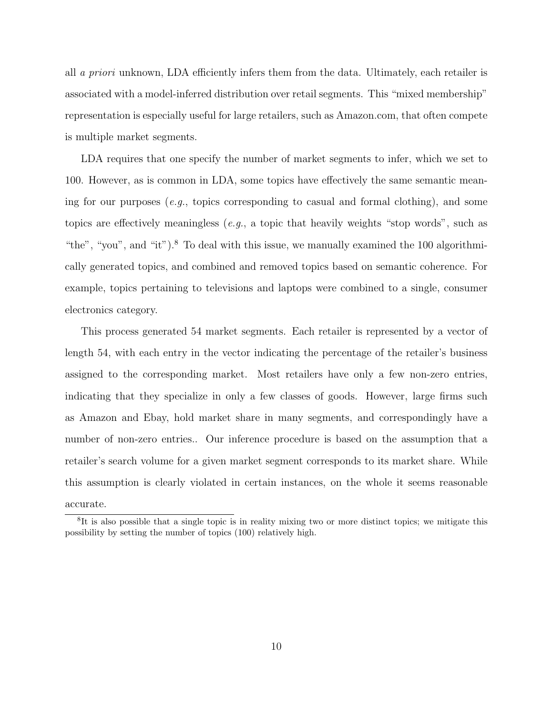all a priori unknown, LDA efficiently infers them from the data. Ultimately, each retailer is associated with a model-inferred distribution over retail segments. This "mixed membership" representation is especially useful for large retailers, such as Amazon.com, that often compete is multiple market segments.

LDA requires that one specify the number of market segments to infer, which we set to 100. However, as is common in LDA, some topics have effectively the same semantic meaning for our purposes (*e.g.*, topics corresponding to casual and formal clothing), and some topics are effectively meaningless  $(e.g., a topic that heavily weights "stop words", such as$ "the", "you", and "it"). $8$  To deal with this issue, we manually examined the 100 algorithmically generated topics, and combined and removed topics based on semantic coherence. For example, topics pertaining to televisions and laptops were combined to a single, consumer electronics category.

This process generated 54 market segments. Each retailer is represented by a vector of length 54, with each entry in the vector indicating the percentage of the retailer's business assigned to the corresponding market. Most retailers have only a few non-zero entries, indicating that they specialize in only a few classes of goods. However, large firms such as Amazon and Ebay, hold market share in many segments, and correspondingly have a number of non-zero entries.. Our inference procedure is based on the assumption that a retailer's search volume for a given market segment corresponds to its market share. While this assumption is clearly violated in certain instances, on the whole it seems reasonable accurate.

<sup>&</sup>lt;sup>8</sup>It is also possible that a single topic is in reality mixing two or more distinct topics; we mitigate this possibility by setting the number of topics (100) relatively high.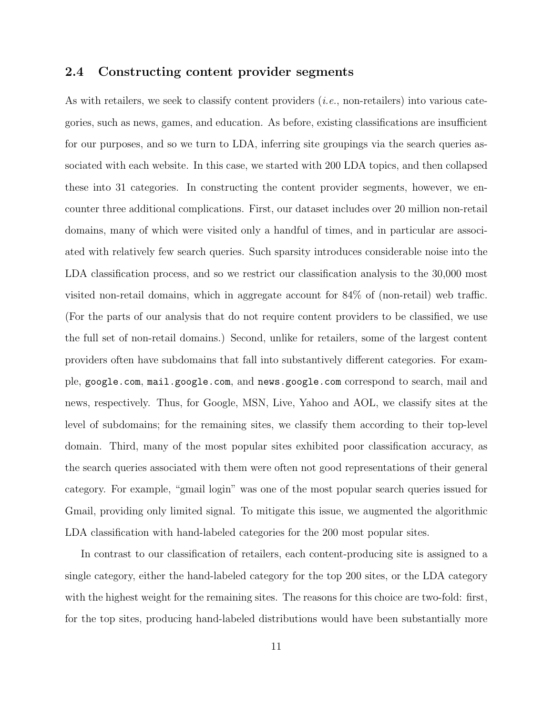#### 2.4 Constructing content provider segments

As with retailers, we seek to classify content providers *(i.e.*, non-retailers) into various categories, such as news, games, and education. As before, existing classifications are insufficient for our purposes, and so we turn to LDA, inferring site groupings via the search queries associated with each website. In this case, we started with 200 LDA topics, and then collapsed these into 31 categories. In constructing the content provider segments, however, we encounter three additional complications. First, our dataset includes over 20 million non-retail domains, many of which were visited only a handful of times, and in particular are associated with relatively few search queries. Such sparsity introduces considerable noise into the LDA classification process, and so we restrict our classification analysis to the 30,000 most visited non-retail domains, which in aggregate account for 84% of (non-retail) web traffic. (For the parts of our analysis that do not require content providers to be classified, we use the full set of non-retail domains.) Second, unlike for retailers, some of the largest content providers often have subdomains that fall into substantively different categories. For example, google.com, mail.google.com, and news.google.com correspond to search, mail and news, respectively. Thus, for Google, MSN, Live, Yahoo and AOL, we classify sites at the level of subdomains; for the remaining sites, we classify them according to their top-level domain. Third, many of the most popular sites exhibited poor classification accuracy, as the search queries associated with them were often not good representations of their general category. For example, "gmail login" was one of the most popular search queries issued for Gmail, providing only limited signal. To mitigate this issue, we augmented the algorithmic LDA classification with hand-labeled categories for the 200 most popular sites.

In contrast to our classification of retailers, each content-producing site is assigned to a single category, either the hand-labeled category for the top 200 sites, or the LDA category with the highest weight for the remaining sites. The reasons for this choice are two-fold: first, for the top sites, producing hand-labeled distributions would have been substantially more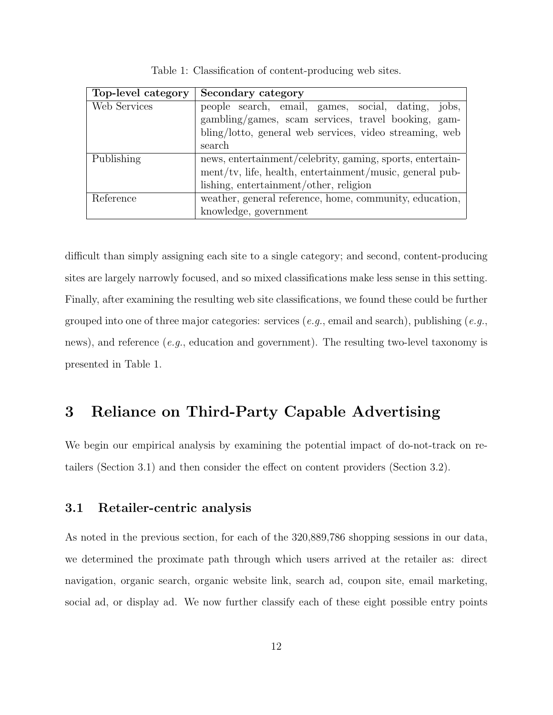| Top-level category | Secondary category                                          |
|--------------------|-------------------------------------------------------------|
| Web Services       | people search, email, games, social, dating, jobs,          |
|                    | gambling/games, scam services, travel booking, gam-         |
|                    | bling/lotto, general web services, video streaming, web     |
|                    | search                                                      |
| Publishing         | news, entertainment/celebrity, gaming, sports, entertain-   |
|                    | $ment/tv$ , life, health, entertainment/music, general pub- |
|                    | lishing, entertainment/other, religion                      |
| Reference          | weather, general reference, home, community, education,     |
|                    | knowledge, government                                       |

Table 1: Classification of content-producing web sites.

difficult than simply assigning each site to a single category; and second, content-producing sites are largely narrowly focused, and so mixed classifications make less sense in this setting. Finally, after examining the resulting web site classifications, we found these could be further grouped into one of three major categories: services (e.g., email and search), publishing (e.g., news), and reference  $(e.g.,)$  education and government). The resulting two-level taxonomy is presented in Table 1.

# 3 Reliance on Third-Party Capable Advertising

We begin our empirical analysis by examining the potential impact of do-not-track on retailers (Section 3.1) and then consider the effect on content providers (Section 3.2).

#### 3.1 Retailer-centric analysis

As noted in the previous section, for each of the 320,889,786 shopping sessions in our data, we determined the proximate path through which users arrived at the retailer as: direct navigation, organic search, organic website link, search ad, coupon site, email marketing, social ad, or display ad. We now further classify each of these eight possible entry points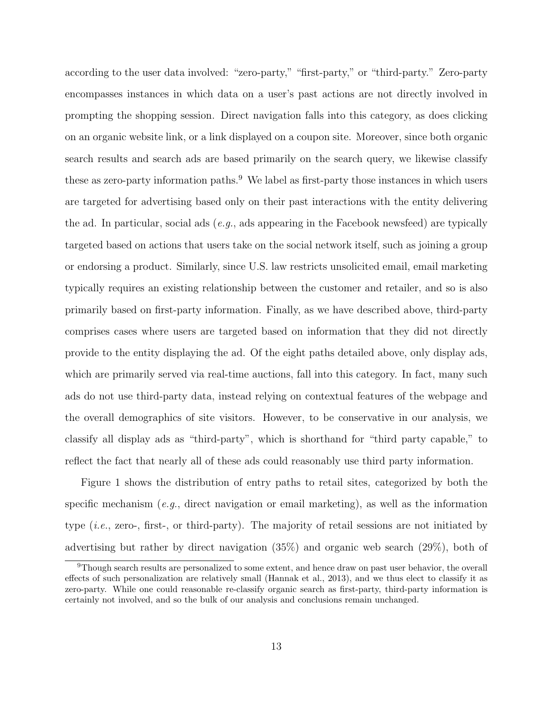according to the user data involved: "zero-party," "first-party," or "third-party." Zero-party encompasses instances in which data on a user's past actions are not directly involved in prompting the shopping session. Direct navigation falls into this category, as does clicking on an organic website link, or a link displayed on a coupon site. Moreover, since both organic search results and search ads are based primarily on the search query, we likewise classify these as zero-party information paths.<sup>9</sup> We label as first-party those instances in which users are targeted for advertising based only on their past interactions with the entity delivering the ad. In particular, social ads  $(e.g.,\)$  ads appearing in the Facebook newsfeed) are typically targeted based on actions that users take on the social network itself, such as joining a group or endorsing a product. Similarly, since U.S. law restricts unsolicited email, email marketing typically requires an existing relationship between the customer and retailer, and so is also primarily based on first-party information. Finally, as we have described above, third-party comprises cases where users are targeted based on information that they did not directly provide to the entity displaying the ad. Of the eight paths detailed above, only display ads, which are primarily served via real-time auctions, fall into this category. In fact, many such ads do not use third-party data, instead relying on contextual features of the webpage and the overall demographics of site visitors. However, to be conservative in our analysis, we classify all display ads as "third-party", which is shorthand for "third party capable," to reflect the fact that nearly all of these ads could reasonably use third party information.

Figure 1 shows the distribution of entry paths to retail sites, categorized by both the specific mechanism (e.g., direct navigation or email marketing), as well as the information type  $(i.e., zero., first-, or third-party).$  The majority of retail sessions are not initiated by advertising but rather by direct navigation (35%) and organic web search (29%), both of

<sup>&</sup>lt;sup>9</sup>Though search results are personalized to some extent, and hence draw on past user behavior, the overall effects of such personalization are relatively small (Hannak et al., 2013), and we thus elect to classify it as zero-party. While one could reasonable re-classify organic search as first-party, third-party information is certainly not involved, and so the bulk of our analysis and conclusions remain unchanged.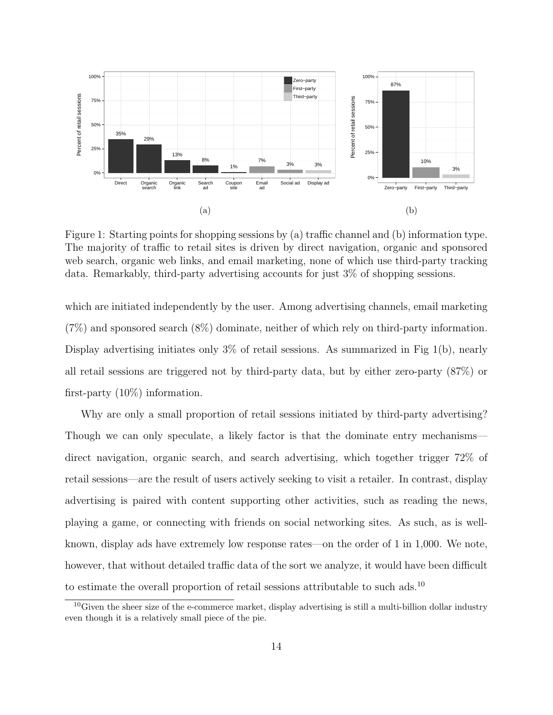

Figure 1: Starting points for shopping sessions by (a) traffic channel and (b) information type. The majority of traffic to retail sites is driven by direct navigation, organic and sponsored web search, organic web links, and email marketing, none of which use third-party tracking data. Remarkably, third-party advertising accounts for just 3% of shopping sessions.

which are initiated independently by the user. Among advertising channels, email marketing (7%) and sponsored search (8%) dominate, neither of which rely on third-party information. Display advertising initiates only 3% of retail sessions. As summarized in Fig 1(b), nearly all retail sessions are triggered not by third-party data, but by either zero-party (87%) or first-party (10%) information.

Why are only a small proportion of retail sessions initiated by third-party advertising? Though we can only speculate, a likely factor is that the dominate entry mechanisms direct navigation, organic search, and search advertising, which together trigger 72% of retail sessions—are the result of users actively seeking to visit a retailer. In contrast, display advertising is paired with content supporting other activities, such as reading the news, playing a game, or connecting with friends on social networking sites. As such, as is wellknown, display ads have extremely low response rates—on the order of 1 in 1,000. We note, however, that without detailed traffic data of the sort we analyze, it would have been difficult to estimate the overall proportion of retail sessions attributable to such ads.<sup>10</sup>

<sup>&</sup>lt;sup>10</sup>Given the sheer size of the e-commerce market, display advertising is still a multi-billion dollar industry even though it is a relatively small piece of the pie.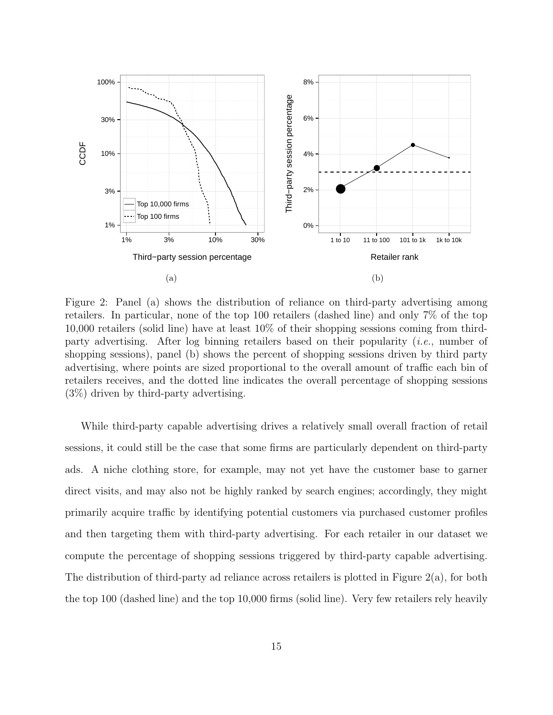

Figure 2: Panel (a) shows the distribution of reliance on third-party advertising among retailers. In particular, none of the top 100 retailers (dashed line) and only 7% of the top 10,000 retailers (solid line) have at least 10% of their shopping sessions coming from thirdparty advertising. After log binning retailers based on their popularity (i.e., number of shopping sessions), panel (b) shows the percent of shopping sessions driven by third party advertising, where points are sized proportional to the overall amount of traffic each bin of retailers receives, and the dotted line indicates the overall percentage of shopping sessions (3%) driven by third-party advertising.

While third-party capable advertising drives a relatively small overall fraction of retail sessions, it could still be the case that some firms are particularly dependent on third-party ads. A niche clothing store, for example, may not yet have the customer base to garner direct visits, and may also not be highly ranked by search engines; accordingly, they might primarily acquire traffic by identifying potential customers via purchased customer profiles and then targeting them with third-party advertising. For each retailer in our dataset we compute the percentage of shopping sessions triggered by third-party capable advertising. The distribution of third-party ad reliance across retailers is plotted in Figure 2(a), for both the top 100 (dashed line) and the top 10,000 firms (solid line). Very few retailers rely heavily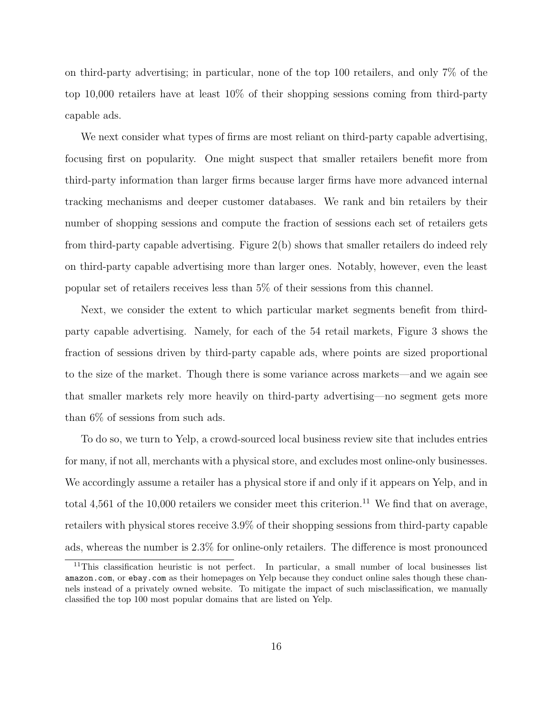on third-party advertising; in particular, none of the top 100 retailers, and only 7% of the top 10,000 retailers have at least 10% of their shopping sessions coming from third-party capable ads.

We next consider what types of firms are most reliant on third-party capable advertising, focusing first on popularity. One might suspect that smaller retailers benefit more from third-party information than larger firms because larger firms have more advanced internal tracking mechanisms and deeper customer databases. We rank and bin retailers by their number of shopping sessions and compute the fraction of sessions each set of retailers gets from third-party capable advertising. Figure 2(b) shows that smaller retailers do indeed rely on third-party capable advertising more than larger ones. Notably, however, even the least popular set of retailers receives less than 5% of their sessions from this channel.

Next, we consider the extent to which particular market segments benefit from thirdparty capable advertising. Namely, for each of the 54 retail markets, Figure 3 shows the fraction of sessions driven by third-party capable ads, where points are sized proportional to the size of the market. Though there is some variance across markets—and we again see that smaller markets rely more heavily on third-party advertising—no segment gets more than 6% of sessions from such ads.

To do so, we turn to Yelp, a crowd-sourced local business review site that includes entries for many, if not all, merchants with a physical store, and excludes most online-only businesses. We accordingly assume a retailer has a physical store if and only if it appears on Yelp, and in total 4,561 of the 10,000 retailers we consider meet this criterion.<sup>11</sup> We find that on average, retailers with physical stores receive 3.9% of their shopping sessions from third-party capable ads, whereas the number is 2.3% for online-only retailers. The difference is most pronounced

 $11$ This classification heuristic is not perfect. In particular, a small number of local businesses list amazon.com, or ebay.com as their homepages on Yelp because they conduct online sales though these channels instead of a privately owned website. To mitigate the impact of such misclassification, we manually classified the top 100 most popular domains that are listed on Yelp.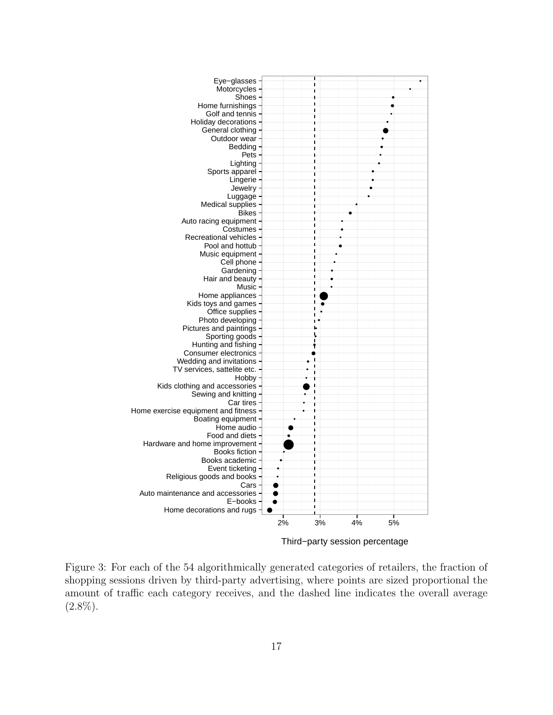

Third−party session percentage

Figure 3: For each of the 54 algorithmically generated categories of retailers, the fraction of shopping sessions driven by third-party advertising, where points are sized proportional the amount of traffic each category receives, and the dashed line indicates the overall average  $(2.8\%).$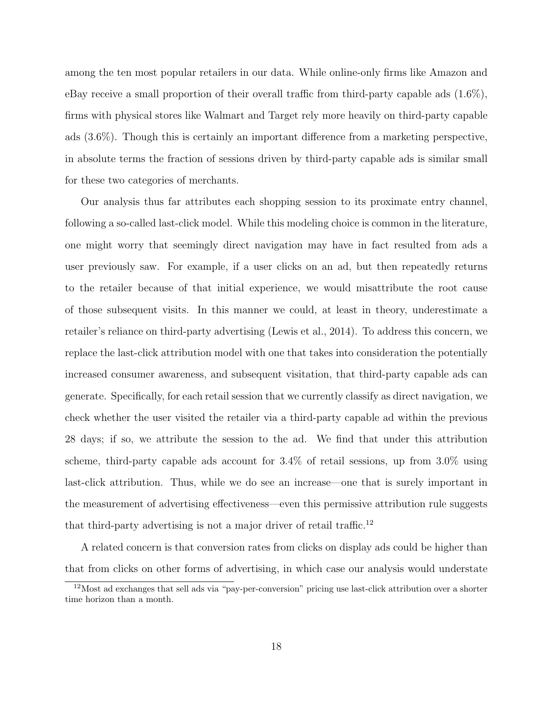among the ten most popular retailers in our data. While online-only firms like Amazon and eBay receive a small proportion of their overall traffic from third-party capable ads (1.6%), firms with physical stores like Walmart and Target rely more heavily on third-party capable ads (3.6%). Though this is certainly an important difference from a marketing perspective, in absolute terms the fraction of sessions driven by third-party capable ads is similar small for these two categories of merchants.

Our analysis thus far attributes each shopping session to its proximate entry channel, following a so-called last-click model. While this modeling choice is common in the literature, one might worry that seemingly direct navigation may have in fact resulted from ads a user previously saw. For example, if a user clicks on an ad, but then repeatedly returns to the retailer because of that initial experience, we would misattribute the root cause of those subsequent visits. In this manner we could, at least in theory, underestimate a retailer's reliance on third-party advertising (Lewis et al., 2014). To address this concern, we replace the last-click attribution model with one that takes into consideration the potentially increased consumer awareness, and subsequent visitation, that third-party capable ads can generate. Specifically, for each retail session that we currently classify as direct navigation, we check whether the user visited the retailer via a third-party capable ad within the previous 28 days; if so, we attribute the session to the ad. We find that under this attribution scheme, third-party capable ads account for 3.4% of retail sessions, up from 3.0% using last-click attribution. Thus, while we do see an increase—one that is surely important in the measurement of advertising effectiveness—even this permissive attribution rule suggests that third-party advertising is not a major driver of retail traffic.<sup>12</sup>

A related concern is that conversion rates from clicks on display ads could be higher than that from clicks on other forms of advertising, in which case our analysis would understate

<sup>12</sup>Most ad exchanges that sell ads via "pay-per-conversion" pricing use last-click attribution over a shorter time horizon than a month.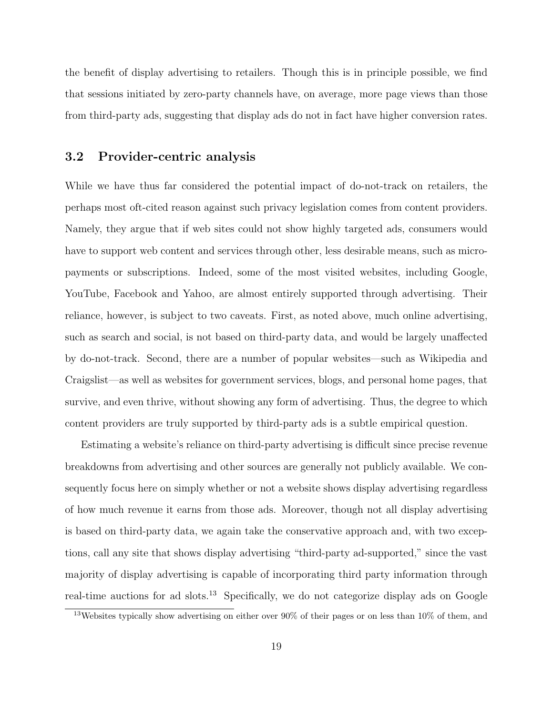the benefit of display advertising to retailers. Though this is in principle possible, we find that sessions initiated by zero-party channels have, on average, more page views than those from third-party ads, suggesting that display ads do not in fact have higher conversion rates.

#### 3.2 Provider-centric analysis

While we have thus far considered the potential impact of do-not-track on retailers, the perhaps most oft-cited reason against such privacy legislation comes from content providers. Namely, they argue that if web sites could not show highly targeted ads, consumers would have to support web content and services through other, less desirable means, such as micropayments or subscriptions. Indeed, some of the most visited websites, including Google, YouTube, Facebook and Yahoo, are almost entirely supported through advertising. Their reliance, however, is subject to two caveats. First, as noted above, much online advertising, such as search and social, is not based on third-party data, and would be largely unaffected by do-not-track. Second, there are a number of popular websites—such as Wikipedia and Craigslist—as well as websites for government services, blogs, and personal home pages, that survive, and even thrive, without showing any form of advertising. Thus, the degree to which content providers are truly supported by third-party ads is a subtle empirical question.

Estimating a website's reliance on third-party advertising is difficult since precise revenue breakdowns from advertising and other sources are generally not publicly available. We consequently focus here on simply whether or not a website shows display advertising regardless of how much revenue it earns from those ads. Moreover, though not all display advertising is based on third-party data, we again take the conservative approach and, with two exceptions, call any site that shows display advertising "third-party ad-supported," since the vast majority of display advertising is capable of incorporating third party information through real-time auctions for ad slots.<sup>13</sup> Specifically, we do not categorize display ads on Google

<sup>13</sup>Websites typically show advertising on either over 90% of their pages or on less than 10% of them, and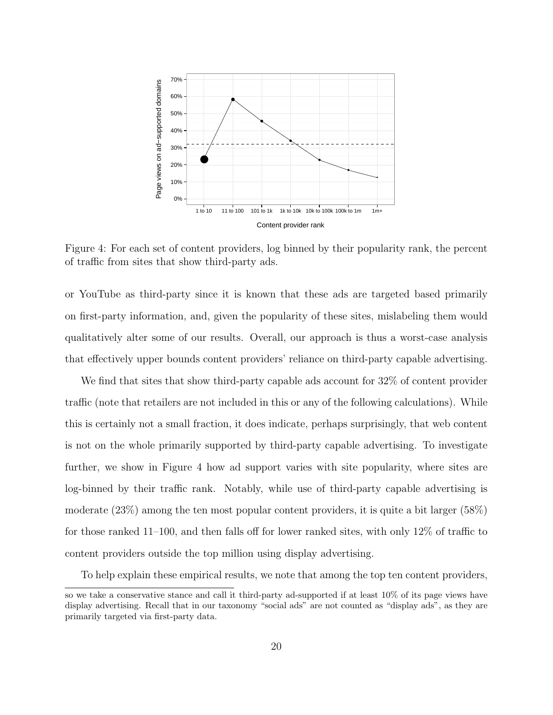

Figure 4: For each set of content providers, log binned by their popularity rank, the percent of traffic from sites that show third-party ads.

or YouTube as third-party since it is known that these ads are targeted based primarily on first-party information, and, given the popularity of these sites, mislabeling them would qualitatively alter some of our results. Overall, our approach is thus a worst-case analysis that effectively upper bounds content providers' reliance on third-party capable advertising.

We find that sites that show third-party capable ads account for 32% of content provider traffic (note that retailers are not included in this or any of the following calculations). While this is certainly not a small fraction, it does indicate, perhaps surprisingly, that web content is not on the whole primarily supported by third-party capable advertising. To investigate further, we show in Figure 4 how ad support varies with site popularity, where sites are log-binned by their traffic rank. Notably, while use of third-party capable advertising is moderate (23%) among the ten most popular content providers, it is quite a bit larger (58%) for those ranked 11–100, and then falls off for lower ranked sites, with only 12% of traffic to content providers outside the top million using display advertising.

To help explain these empirical results, we note that among the top ten content providers,

so we take a conservative stance and call it third-party ad-supported if at least 10% of its page views have display advertising. Recall that in our taxonomy "social ads" are not counted as "display ads", as they are primarily targeted via first-party data.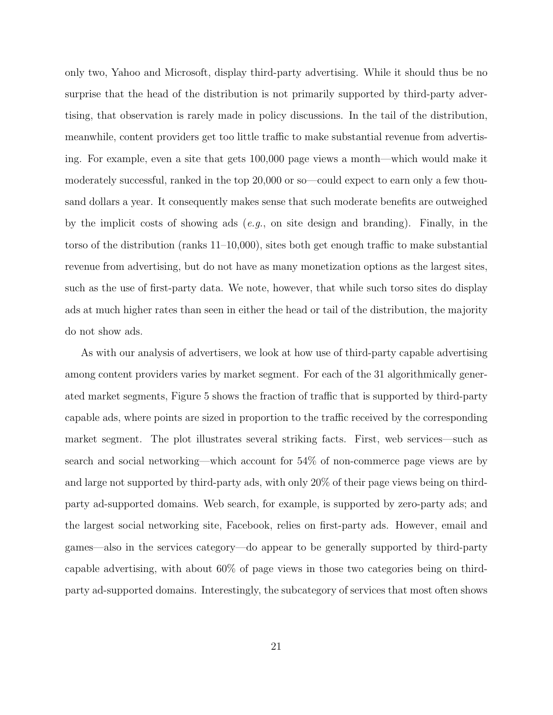only two, Yahoo and Microsoft, display third-party advertising. While it should thus be no surprise that the head of the distribution is not primarily supported by third-party advertising, that observation is rarely made in policy discussions. In the tail of the distribution, meanwhile, content providers get too little traffic to make substantial revenue from advertising. For example, even a site that gets 100,000 page views a month—which would make it moderately successful, ranked in the top 20,000 or so—could expect to earn only a few thousand dollars a year. It consequently makes sense that such moderate benefits are outweighed by the implicit costs of showing ads (e.g., on site design and branding). Finally, in the torso of the distribution (ranks 11–10,000), sites both get enough traffic to make substantial revenue from advertising, but do not have as many monetization options as the largest sites, such as the use of first-party data. We note, however, that while such torso sites do display ads at much higher rates than seen in either the head or tail of the distribution, the majority do not show ads.

As with our analysis of advertisers, we look at how use of third-party capable advertising among content providers varies by market segment. For each of the 31 algorithmically generated market segments, Figure 5 shows the fraction of traffic that is supported by third-party capable ads, where points are sized in proportion to the traffic received by the corresponding market segment. The plot illustrates several striking facts. First, web services—such as search and social networking—which account for 54% of non-commerce page views are by and large not supported by third-party ads, with only 20% of their page views being on thirdparty ad-supported domains. Web search, for example, is supported by zero-party ads; and the largest social networking site, Facebook, relies on first-party ads. However, email and games—also in the services category—do appear to be generally supported by third-party capable advertising, with about 60% of page views in those two categories being on thirdparty ad-supported domains. Interestingly, the subcategory of services that most often shows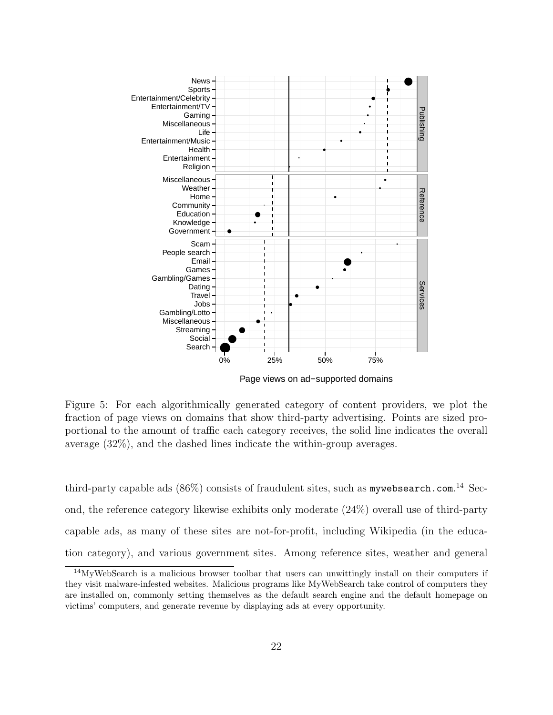

Figure 5: For each algorithmically generated category of content providers, we plot the fraction of page views on domains that show third-party advertising. Points are sized proportional to the amount of traffic each category receives, the solid line indicates the overall average (32%), and the dashed lines indicate the within-group averages.

third-party capable ads  $(86\%)$  consists of fraudulent sites, such as mywebsearch.com.<sup>14</sup> Second, the reference category likewise exhibits only moderate (24%) overall use of third-party capable ads, as many of these sites are not-for-profit, including Wikipedia (in the education category), and various government sites. Among reference sites, weather and general

<sup>14</sup>MyWebSearch is a malicious browser toolbar that users can unwittingly install on their computers if they visit malware-infested websites. Malicious programs like MyWebSearch take control of computers they are installed on, commonly setting themselves as the default search engine and the default homepage on victims' computers, and generate revenue by displaying ads at every opportunity.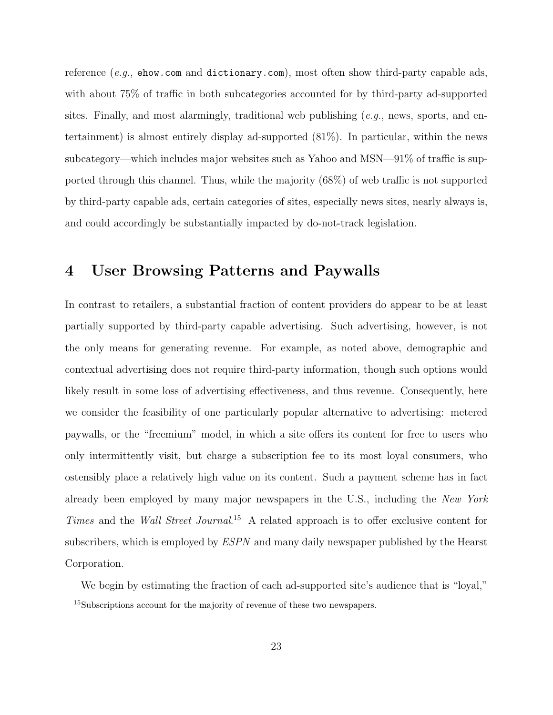reference (e.g., ehow.com and dictionary.com), most often show third-party capable ads, with about 75% of traffic in both subcategories accounted for by third-party ad-supported sites. Finally, and most alarmingly, traditional web publishing  $(e.g.,\)$  news, sports, and entertainment) is almost entirely display ad-supported (81%). In particular, within the news subcategory—which includes major websites such as Yahoo and MSN—91% of traffic is supported through this channel. Thus, while the majority (68%) of web traffic is not supported by third-party capable ads, certain categories of sites, especially news sites, nearly always is, and could accordingly be substantially impacted by do-not-track legislation.

# 4 User Browsing Patterns and Paywalls

In contrast to retailers, a substantial fraction of content providers do appear to be at least partially supported by third-party capable advertising. Such advertising, however, is not the only means for generating revenue. For example, as noted above, demographic and contextual advertising does not require third-party information, though such options would likely result in some loss of advertising effectiveness, and thus revenue. Consequently, here we consider the feasibility of one particularly popular alternative to advertising: metered paywalls, or the "freemium" model, in which a site offers its content for free to users who only intermittently visit, but charge a subscription fee to its most loyal consumers, who ostensibly place a relatively high value on its content. Such a payment scheme has in fact already been employed by many major newspapers in the U.S., including the New York Times and the Wall Street Journal.<sup>15</sup> A related approach is to offer exclusive content for subscribers, which is employed by ESPN and many daily newspaper published by the Hearst Corporation.

We begin by estimating the fraction of each ad-supported site's audience that is "loyal,"

<sup>&</sup>lt;sup>15</sup>Subscriptions account for the majority of revenue of these two newspapers.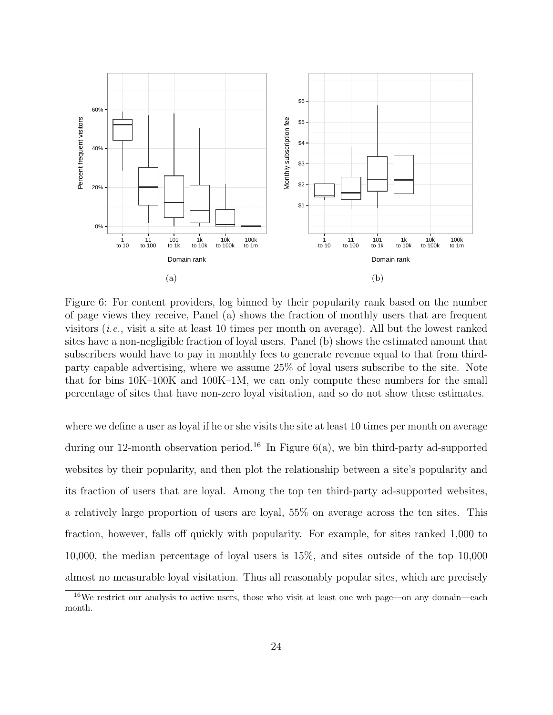

Figure 6: For content providers, log binned by their popularity rank based on the number of page views they receive, Panel (a) shows the fraction of monthly users that are frequent visitors (i.e., visit a site at least 10 times per month on average). All but the lowest ranked sites have a non-negligible fraction of loyal users. Panel (b) shows the estimated amount that subscribers would have to pay in monthly fees to generate revenue equal to that from thirdparty capable advertising, where we assume 25% of loyal users subscribe to the site. Note that for bins 10K–100K and 100K–1M, we can only compute these numbers for the small percentage of sites that have non-zero loyal visitation, and so do not show these estimates.

where we define a user as loyal if he or she visits the site at least 10 times per month on average during our 12-month observation period.<sup>16</sup> In Figure  $6(a)$ , we bin third-party ad-supported websites by their popularity, and then plot the relationship between a site's popularity and its fraction of users that are loyal. Among the top ten third-party ad-supported websites, a relatively large proportion of users are loyal, 55% on average across the ten sites. This fraction, however, falls off quickly with popularity. For example, for sites ranked 1,000 to 10,000, the median percentage of loyal users is 15%, and sites outside of the top 10,000 almost no measurable loyal visitation. Thus all reasonably popular sites, which are precisely

 $16\text{We restrict our analysis to active users, those who visit at least one web page—on any domain—each$ month.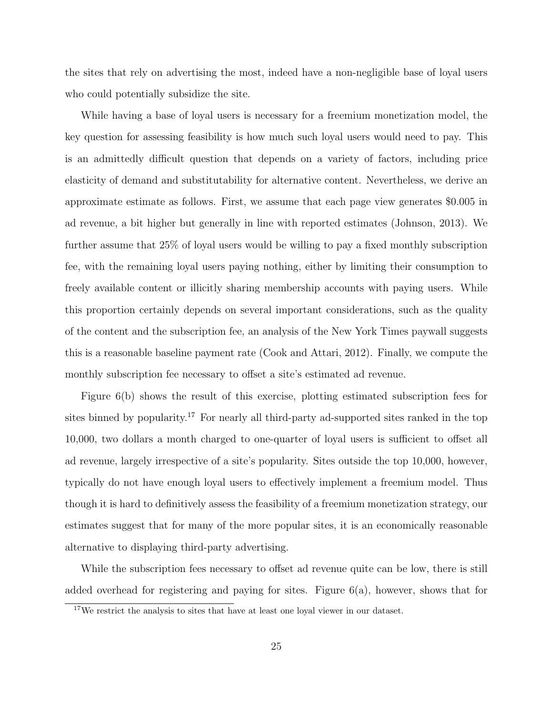the sites that rely on advertising the most, indeed have a non-negligible base of loyal users who could potentially subsidize the site.

While having a base of loyal users is necessary for a freemium monetization model, the key question for assessing feasibility is how much such loyal users would need to pay. This is an admittedly difficult question that depends on a variety of factors, including price elasticity of demand and substitutability for alternative content. Nevertheless, we derive an approximate estimate as follows. First, we assume that each page view generates \$0.005 in ad revenue, a bit higher but generally in line with reported estimates (Johnson, 2013). We further assume that 25% of loyal users would be willing to pay a fixed monthly subscription fee, with the remaining loyal users paying nothing, either by limiting their consumption to freely available content or illicitly sharing membership accounts with paying users. While this proportion certainly depends on several important considerations, such as the quality of the content and the subscription fee, an analysis of the New York Times paywall suggests this is a reasonable baseline payment rate (Cook and Attari, 2012). Finally, we compute the monthly subscription fee necessary to offset a site's estimated ad revenue.

Figure 6(b) shows the result of this exercise, plotting estimated subscription fees for sites binned by popularity.<sup>17</sup> For nearly all third-party ad-supported sites ranked in the top 10,000, two dollars a month charged to one-quarter of loyal users is sufficient to offset all ad revenue, largely irrespective of a site's popularity. Sites outside the top 10,000, however, typically do not have enough loyal users to effectively implement a freemium model. Thus though it is hard to definitively assess the feasibility of a freemium monetization strategy, our estimates suggest that for many of the more popular sites, it is an economically reasonable alternative to displaying third-party advertising.

While the subscription fees necessary to offset ad revenue quite can be low, there is still added overhead for registering and paying for sites. Figure 6(a), however, shows that for

<sup>&</sup>lt;sup>17</sup>We restrict the analysis to sites that have at least one loyal viewer in our dataset.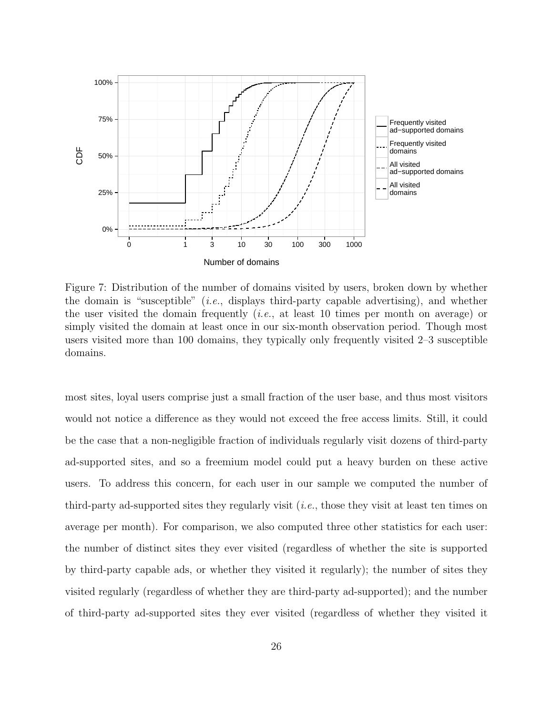

Figure 7: Distribution of the number of domains visited by users, broken down by whether the domain is "susceptible" (*i.e.*, displays third-party capable advertising), and whether the user visited the domain frequently (i.e., at least 10 times per month on average) or simply visited the domain at least once in our six-month observation period. Though most users visited more than 100 domains, they typically only frequently visited 2–3 susceptible domains.

most sites, loyal users comprise just a small fraction of the user base, and thus most visitors would not notice a difference as they would not exceed the free access limits. Still, it could be the case that a non-negligible fraction of individuals regularly visit dozens of third-party ad-supported sites, and so a freemium model could put a heavy burden on these active users. To address this concern, for each user in our sample we computed the number of third-party ad-supported sites they regularly visit (i.e., those they visit at least ten times on average per month). For comparison, we also computed three other statistics for each user: the number of distinct sites they ever visited (regardless of whether the site is supported by third-party capable ads, or whether they visited it regularly); the number of sites they visited regularly (regardless of whether they are third-party ad-supported); and the number of third-party ad-supported sites they ever visited (regardless of whether they visited it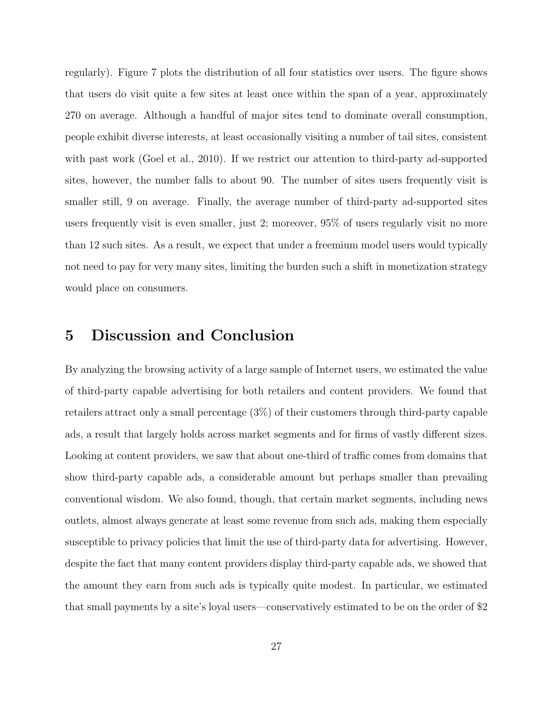regularly). Figure 7 plots the distribution of all four statistics over users. The figure shows that users do visit quite a few sites at least once within the span of a year, approximately 270 on average. Although a handful of major sites tend to dominate overall consumption, people exhibit diverse interests, at least occasionally visiting a number of tail sites, consistent with past work (Goel et al., 2010). If we restrict our attention to third-party ad-supported sites, however, the number falls to about 90. The number of sites users frequently visit is smaller still, 9 on average. Finally, the average number of third-party ad-supported sites users frequently visit is even smaller, just 2; moreover, 95% of users regularly visit no more than 12 such sites. As a result, we expect that under a freemium model users would typically not need to pay for very many sites, limiting the burden such a shift in monetization strategy would place on consumers.

# 5 Discussion and Conclusion

By analyzing the browsing activity of a large sample of Internet users, we estimated the value of third-party capable advertising for both retailers and content providers. We found that retailers attract only a small percentage (3%) of their customers through third-party capable ads, a result that largely holds across market segments and for firms of vastly different sizes. Looking at content providers, we saw that about one-third of traffic comes from domains that show third-party capable ads, a considerable amount but perhaps smaller than prevailing conventional wisdom. We also found, though, that certain market segments, including news outlets, almost always generate at least some revenue from such ads, making them especially susceptible to privacy policies that limit the use of third-party data for advertising. However, despite the fact that many content providers display third-party capable ads, we showed that the amount they earn from such ads is typically quite modest. In particular, we estimated that small payments by a site's loyal users—conservatively estimated to be on the order of \$2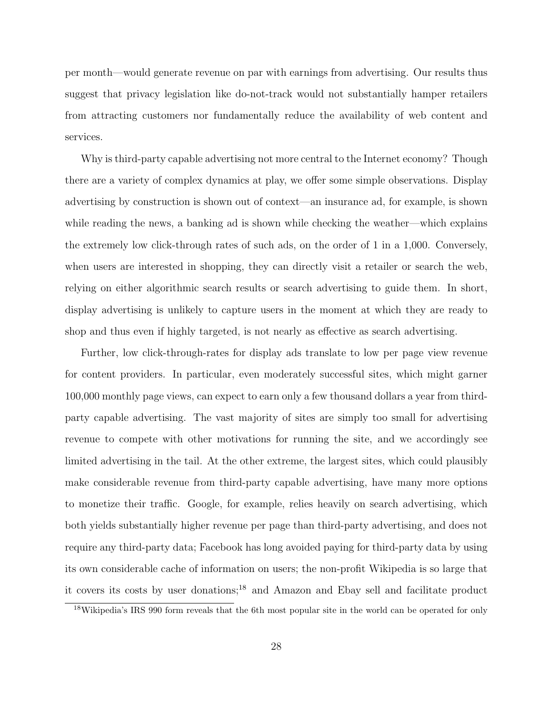per month—would generate revenue on par with earnings from advertising. Our results thus suggest that privacy legislation like do-not-track would not substantially hamper retailers from attracting customers nor fundamentally reduce the availability of web content and services.

Why is third-party capable advertising not more central to the Internet economy? Though there are a variety of complex dynamics at play, we offer some simple observations. Display advertising by construction is shown out of context—an insurance ad, for example, is shown while reading the news, a banking ad is shown while checking the weather—which explains the extremely low click-through rates of such ads, on the order of 1 in a 1,000. Conversely, when users are interested in shopping, they can directly visit a retailer or search the web, relying on either algorithmic search results or search advertising to guide them. In short, display advertising is unlikely to capture users in the moment at which they are ready to shop and thus even if highly targeted, is not nearly as effective as search advertising.

Further, low click-through-rates for display ads translate to low per page view revenue for content providers. In particular, even moderately successful sites, which might garner 100,000 monthly page views, can expect to earn only a few thousand dollars a year from thirdparty capable advertising. The vast majority of sites are simply too small for advertising revenue to compete with other motivations for running the site, and we accordingly see limited advertising in the tail. At the other extreme, the largest sites, which could plausibly make considerable revenue from third-party capable advertising, have many more options to monetize their traffic. Google, for example, relies heavily on search advertising, which both yields substantially higher revenue per page than third-party advertising, and does not require any third-party data; Facebook has long avoided paying for third-party data by using its own considerable cache of information on users; the non-profit Wikipedia is so large that it covers its costs by user donations;<sup>18</sup> and Amazon and Ebay sell and facilitate product

<sup>&</sup>lt;sup>18</sup>Wikipedia's IRS 990 form reveals that the 6th most popular site in the world can be operated for only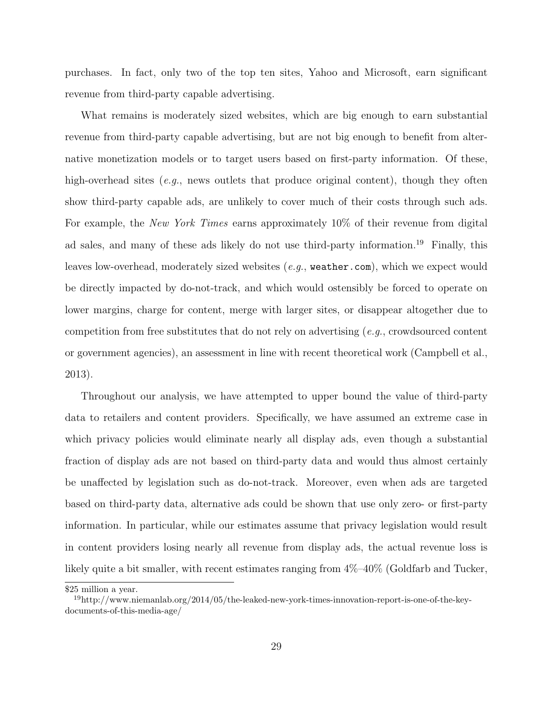purchases. In fact, only two of the top ten sites, Yahoo and Microsoft, earn significant revenue from third-party capable advertising.

What remains is moderately sized websites, which are big enough to earn substantial revenue from third-party capable advertising, but are not big enough to benefit from alternative monetization models or to target users based on first-party information. Of these, high-overhead sites (e.g., news outlets that produce original content), though they often show third-party capable ads, are unlikely to cover much of their costs through such ads. For example, the *New York Times* earns approximately 10% of their revenue from digital ad sales, and many of these ads likely do not use third-party information.<sup>19</sup> Finally, this leaves low-overhead, moderately sized websites (e.g., weather.com), which we expect would be directly impacted by do-not-track, and which would ostensibly be forced to operate on lower margins, charge for content, merge with larger sites, or disappear altogether due to competition from free substitutes that do not rely on advertising  $(e.g.,$  crowdsourced content or government agencies), an assessment in line with recent theoretical work (Campbell et al., 2013).

Throughout our analysis, we have attempted to upper bound the value of third-party data to retailers and content providers. Specifically, we have assumed an extreme case in which privacy policies would eliminate nearly all display ads, even though a substantial fraction of display ads are not based on third-party data and would thus almost certainly be unaffected by legislation such as do-not-track. Moreover, even when ads are targeted based on third-party data, alternative ads could be shown that use only zero- or first-party information. In particular, while our estimates assume that privacy legislation would result in content providers losing nearly all revenue from display ads, the actual revenue loss is likely quite a bit smaller, with recent estimates ranging from 4%–40% (Goldfarb and Tucker,

<sup>\$25</sup> million a year.

<sup>19</sup>http://www.niemanlab.org/2014/05/the-leaked-new-york-times-innovation-report-is-one-of-the-keydocuments-of-this-media-age/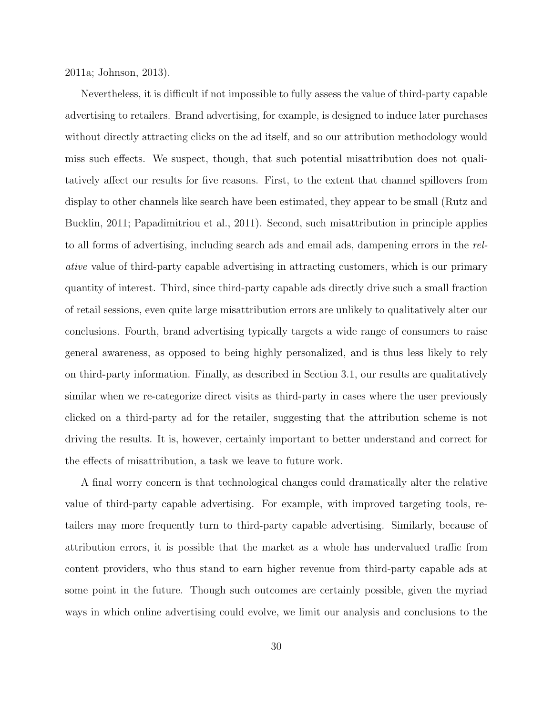2011a; Johnson, 2013).

Nevertheless, it is difficult if not impossible to fully assess the value of third-party capable advertising to retailers. Brand advertising, for example, is designed to induce later purchases without directly attracting clicks on the ad itself, and so our attribution methodology would miss such effects. We suspect, though, that such potential misattribution does not qualitatively affect our results for five reasons. First, to the extent that channel spillovers from display to other channels like search have been estimated, they appear to be small (Rutz and Bucklin, 2011; Papadimitriou et al., 2011). Second, such misattribution in principle applies to all forms of advertising, including search ads and email ads, dampening errors in the relative value of third-party capable advertising in attracting customers, which is our primary quantity of interest. Third, since third-party capable ads directly drive such a small fraction of retail sessions, even quite large misattribution errors are unlikely to qualitatively alter our conclusions. Fourth, brand advertising typically targets a wide range of consumers to raise general awareness, as opposed to being highly personalized, and is thus less likely to rely on third-party information. Finally, as described in Section 3.1, our results are qualitatively similar when we re-categorize direct visits as third-party in cases where the user previously clicked on a third-party ad for the retailer, suggesting that the attribution scheme is not driving the results. It is, however, certainly important to better understand and correct for the effects of misattribution, a task we leave to future work.

A final worry concern is that technological changes could dramatically alter the relative value of third-party capable advertising. For example, with improved targeting tools, retailers may more frequently turn to third-party capable advertising. Similarly, because of attribution errors, it is possible that the market as a whole has undervalued traffic from content providers, who thus stand to earn higher revenue from third-party capable ads at some point in the future. Though such outcomes are certainly possible, given the myriad ways in which online advertising could evolve, we limit our analysis and conclusions to the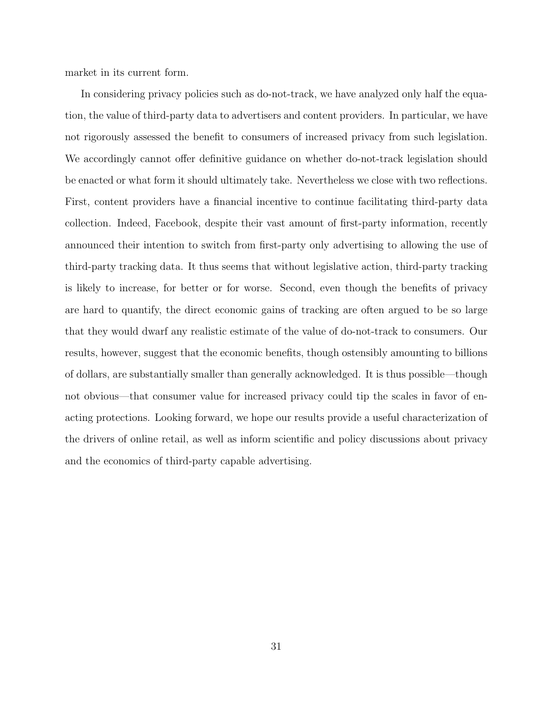market in its current form.

In considering privacy policies such as do-not-track, we have analyzed only half the equation, the value of third-party data to advertisers and content providers. In particular, we have not rigorously assessed the benefit to consumers of increased privacy from such legislation. We accordingly cannot offer definitive guidance on whether do-not-track legislation should be enacted or what form it should ultimately take. Nevertheless we close with two reflections. First, content providers have a financial incentive to continue facilitating third-party data collection. Indeed, Facebook, despite their vast amount of first-party information, recently announced their intention to switch from first-party only advertising to allowing the use of third-party tracking data. It thus seems that without legislative action, third-party tracking is likely to increase, for better or for worse. Second, even though the benefits of privacy are hard to quantify, the direct economic gains of tracking are often argued to be so large that they would dwarf any realistic estimate of the value of do-not-track to consumers. Our results, however, suggest that the economic benefits, though ostensibly amounting to billions of dollars, are substantially smaller than generally acknowledged. It is thus possible—though not obvious—that consumer value for increased privacy could tip the scales in favor of enacting protections. Looking forward, we hope our results provide a useful characterization of the drivers of online retail, as well as inform scientific and policy discussions about privacy and the economics of third-party capable advertising.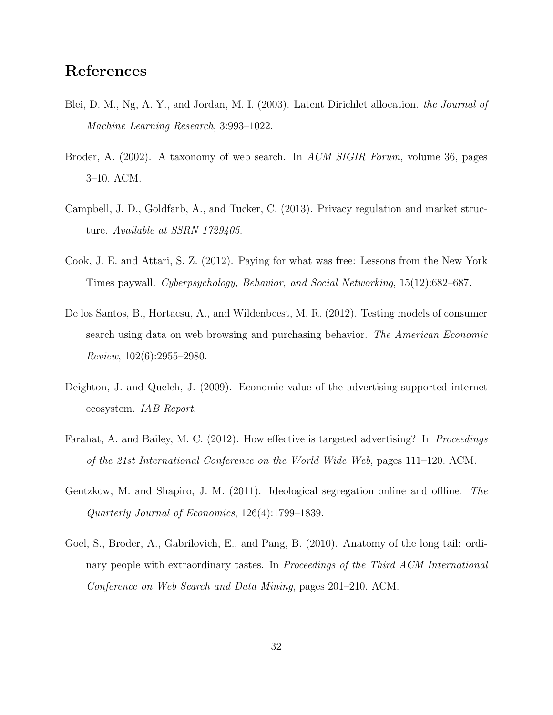# References

- Blei, D. M., Ng, A. Y., and Jordan, M. I. (2003). Latent Dirichlet allocation. the Journal of Machine Learning Research, 3:993–1022.
- Broder, A. (2002). A taxonomy of web search. In ACM SIGIR Forum, volume 36, pages 3–10. ACM.
- Campbell, J. D., Goldfarb, A., and Tucker, C. (2013). Privacy regulation and market structure. Available at SSRN 1729405.
- Cook, J. E. and Attari, S. Z. (2012). Paying for what was free: Lessons from the New York Times paywall. Cyberpsychology, Behavior, and Social Networking, 15(12):682–687.
- De los Santos, B., Hortacsu, A., and Wildenbeest, M. R. (2012). Testing models of consumer search using data on web browsing and purchasing behavior. The American Economic  $Review, 102(6):2955-2980.$
- Deighton, J. and Quelch, J. (2009). Economic value of the advertising-supported internet ecosystem. IAB Report.
- Farahat, A. and Bailey, M. C. (2012). How effective is targeted advertising? In *Proceedings* of the 21st International Conference on the World Wide Web, pages 111–120. ACM.
- Gentzkow, M. and Shapiro, J. M. (2011). Ideological segregation online and offline. The Quarterly Journal of Economics, 126(4):1799–1839.
- Goel, S., Broder, A., Gabrilovich, E., and Pang, B. (2010). Anatomy of the long tail: ordinary people with extraordinary tastes. In Proceedings of the Third ACM International Conference on Web Search and Data Mining, pages 201–210. ACM.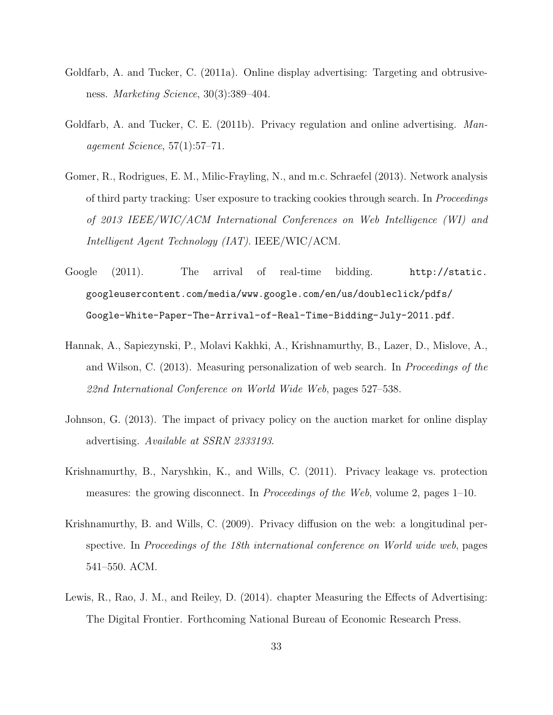- Goldfarb, A. and Tucker, C. (2011a). Online display advertising: Targeting and obtrusiveness. Marketing Science, 30(3):389–404.
- Goldfarb, A. and Tucker, C. E. (2011b). Privacy regulation and online advertising. Management Science, 57(1):57–71.
- Gomer, R., Rodrigues, E. M., Milic-Frayling, N., and m.c. Schraefel (2013). Network analysis of third party tracking: User exposure to tracking cookies through search. In Proceedings of 2013 IEEE/WIC/ACM International Conferences on Web Intelligence (WI) and Intelligent Agent Technology (IAT). IEEE/WIC/ACM.
- Google (2011). The arrival of real-time bidding. http://static. googleusercontent.com/media/www.google.com/en/us/doubleclick/pdfs/ Google-White-Paper-The-Arrival-of-Real-Time-Bidding-July-2011.pdf.
- Hannak, A., Sapiezynski, P., Molavi Kakhki, A., Krishnamurthy, B., Lazer, D., Mislove, A., and Wilson, C. (2013). Measuring personalization of web search. In Proceedings of the 22nd International Conference on World Wide Web, pages 527–538.
- Johnson, G. (2013). The impact of privacy policy on the auction market for online display advertising. Available at SSRN 2333193.
- Krishnamurthy, B., Naryshkin, K., and Wills, C. (2011). Privacy leakage vs. protection measures: the growing disconnect. In Proceedings of the Web, volume 2, pages 1–10.
- Krishnamurthy, B. and Wills, C. (2009). Privacy diffusion on the web: a longitudinal perspective. In Proceedings of the 18th international conference on World wide web, pages 541–550. ACM.
- Lewis, R., Rao, J. M., and Reiley, D. (2014). chapter Measuring the Effects of Advertising: The Digital Frontier. Forthcoming National Bureau of Economic Research Press.